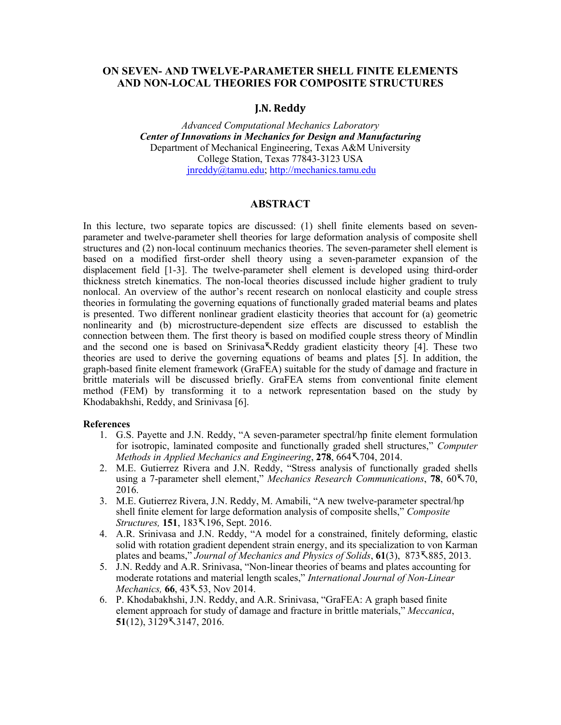## **ON SEVEN- AND TWELVE-PARAMETER SHELL FINITE ELEMENTS AND NON-LOCAL THEORIES FOR COMPOSITE STRUCTURES**

#### **J.N. Reddy**

*Advanced Computational Mechanics Laboratory Center of Innovations in Mechanics for Design and Manufacturing* Department of Mechanical Engineering, Texas A&M University College Station, Texas 77843-3123 USA jnreddy@tamu.edu; http://mechanics.tamu.edu

### **ABSTRACT**

In this lecture, two separate topics are discussed: (1) shell finite elements based on sevenparameter and twelve-parameter shell theories for large deformation analysis of composite shell structures and (2) non-local continuum mechanics theories. The seven-parameter shell element is based on a modified first-order shell theory using a seven-parameter expansion of the displacement field [1-3]. The twelve-parameter shell element is developed using third-order thickness stretch kinematics. The non-local theories discussed include higher gradient to truly nonlocal. An overview of the author's recent research on nonlocal elasticity and couple stress theories in formulating the governing equations of functionally graded material beams and plates is presented. Two different nonlinear gradient elasticity theories that account for (a) geometric nonlinearity and (b) microstructure-dependent size effects are discussed to establish the connection between them. The first theory is based on modified couple stress theory of Mindlin and the second one is based on Srinivasa<sub>Reddy</sub> gradient elasticity theory [4]. These two theories are used to derive the governing equations of beams and plates [5]. In addition, the graph-based finite element framework (GraFEA) suitable for the study of damage and fracture in brittle materials will be discussed briefly. GraFEA stems from conventional finite element method (FEM) by transforming it to a network representation based on the study by Khodabakhshi, Reddy, and Srinivasa [6].

#### **References**

- 1. G.S. Payette and J.N. Reddy, "A seven-parameter spectral/hp finite element formulation for isotropic, laminated composite and functionally graded shell structures," *Computer Methods in Applied Mechanics and Engineering*, **278**, 664-704, 2014.
- 2. M.E. Gutierrez Rivera and J.N. Reddy, "Stress analysis of functionally graded shells using a 7-parameter shell element," *Mechanics Research Communications*, **78**, 60-70, 2016.
- 3. M.E. Gutierrez Rivera, J.N. Reddy, M. Amabili, "A new twelve-parameter spectral/hp shell finite element for large deformation analysis of composite shells," *Composite Structures,* **151**, 183-196, Sept. 2016.
- 4. A.R. Srinivasa and J.N. Reddy, "A model for a constrained, finitely deforming, elastic solid with rotation gradient dependent strain energy, and its specialization to von Karman plates and beams," *Journal of Mechanics and Physics of Solids*, **61**(3), 873-885, 2013.
- 5. J.N. Reddy and A.R. Srinivasa, "Non-linear theories of beams and plates accounting for moderate rotations and material length scales," *International Journal of Non-Linear*   $$
- 6. P. Khodabakhshi, J.N. Reddy, and A.R. Srinivasa, "GraFEA: A graph based finite element approach for study of damage and fracture in brittle materials," *Meccanica*, **51**(12), 3129-3147, 2016.